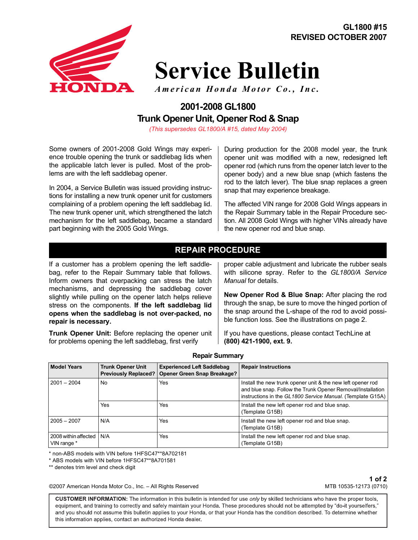

# **Service Bulletin**

*American Honda Motor Co., Inc.*

# **2001-2008 GL1800 Trunk Opener Unit, Opener Rod & Snap**

*(This supersedes GL1800/A #15, dated May 2004)*

Some owners of 2001-2008 Gold Wings may experience trouble opening the trunk or saddlebag lids when the applicable latch lever is pulled. Most of the problems are with the left saddlebag opener.

In 2004, a Service Bulletin was issued providing instructions for installing a new trunk opener unit for customers complaining of a problem opening the left saddlebag lid. The new trunk opener unit, which strengthened the latch mechanism for the left saddlebag, became a standard part beginning with the 2005 Gold Wings.

During production for the 2008 model year, the trunk opener unit was modified with a new, redesigned left opener rod (which runs from the opener latch lever to the opener body) and a new blue snap (which fastens the rod to the latch lever). The blue snap replaces a green snap that may experience breakage.

The affected VIN range for 2008 Gold Wings appears in the Repair Summary table in the Repair Procedure section. All 2008 Gold Wings with higher VINs already have the new opener rod and blue snap.

### **REPAIR PROCEDURE**

If a customer has a problem opening the left saddlebag, refer to the Repair Summary table that follows. Inform owners that overpacking can stress the latch mechanisms, and depressing the saddlebag cover slightly while pulling on the opener latch helps relieve stress on the components. **If the left saddlebag lid opens when the saddlebag is not over-packed, no repair is necessary.**

**Trunk Opener Unit:** Before replacing the opener unit for problems opening the left saddlebag, first verify

proper cable adjustment and lubricate the rubber seals with silicone spray. Refer to the *GL1800/A Service Manual* for details.

**New Opener Rod & Blue Snap:** After placing the rod through the snap, be sure to move the hinged portion of the snap around the L-shape of the rod to avoid possible function loss. See the illustrations on page 2.

If you have questions, please contact TechLine at **(800) 421-1900, ext. 9.**

| <b>Model Years</b>                  | Trunk Opener Unit<br><b>Previously Replaced?</b> | <b>Experienced Left Saddlebag</b><br>Opener Green Snap Breakage? | <b>Repair Instructions</b>                                                                                                                                                               |
|-------------------------------------|--------------------------------------------------|------------------------------------------------------------------|------------------------------------------------------------------------------------------------------------------------------------------------------------------------------------------|
| $2001 - 2004$                       | No                                               | Yes                                                              | Install the new trunk opener unit & the new left opener rod<br>and blue snap. Follow the Trunk Opener Removal/Installation<br>instructions in the GL1800 Service Manual. (Template G15A) |
|                                     | Yes                                              | Yes                                                              | Install the new left opener rod and blue snap.<br>(Template G15B)                                                                                                                        |
| $2005 - 2007$                       | N/A                                              | Yes                                                              | Install the new left opener rod and blue snap.<br>(Template G15B)                                                                                                                        |
| 2008 within affected<br>VIN range * | N/A                                              | Yes                                                              | Install the new left opener rod and blue snap.<br>(Template G15B)                                                                                                                        |

\* non-ABS models with VIN before 1HFSC47\*\*8A702181

\* ABS models with VIN before 1HFSC47\*\*8A701581

\*\* denotes trim level and check digit

©2007 American Honda Motor Co., Inc. – All Rights Reserved

**1 of 2** MTB 10535-12173 (0710)

CUSTOMER INFORMATION: The information in this bulletin is intended for use only by skilled technicians who have the proper tools, equipment, and training to correctly and safely maintain your Honda. These procedures should not be attempted by "do-it yourselfers," and you should not assume this bulletin applies to your Honda, or that your Honda has the condition described. To determine whether this information applies, contact an authorized Honda dealer.

#### **Repair Summary**